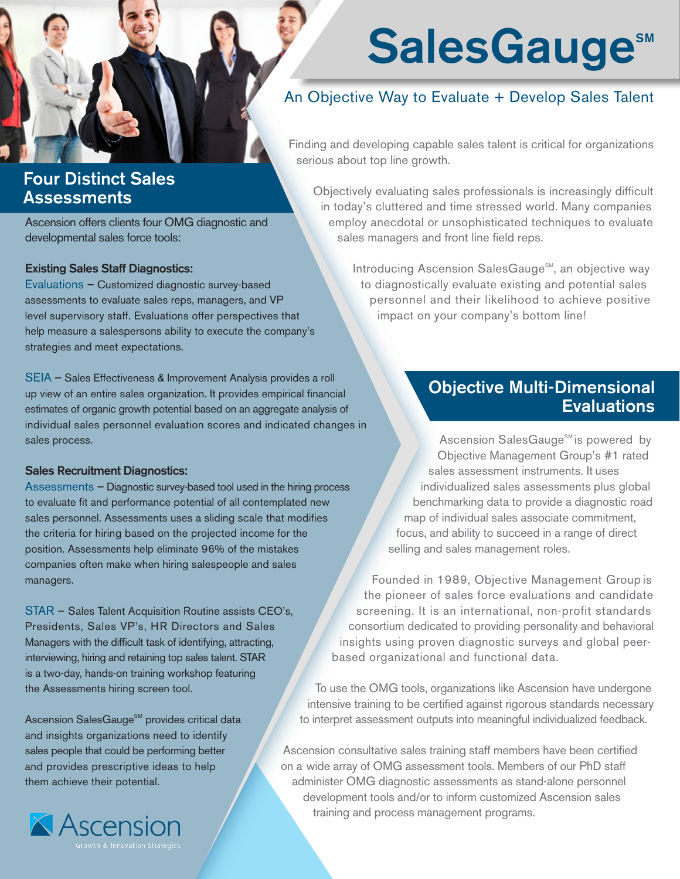# SalesGauge®

## An Objective Way to Evaluate + Develop Sales Talent

Finding and developing capable sales talent is critical for organizations serious about top line growth.

## Four Distinct Sales Assessments

Ascension offers clients four OMG diagnostic and developmental sales force tools:

#### Existing Sales Staff Diagnostics:

Evaluations – Customized diagnostic survey-based assessments to evaluate sales reps, managers, and VP level supervisory staff. Evaluations offer perspectives that help measure a salespersons ability to execute the company's strategies and meet expectations.

SEIA – Sales Effectiveness & Improvement Analysis provides a roll up view of an entire sales organization. It provides empirical financial estimates of organic growth potential based on an aggregate analysis of individual sales personnel evaluation scores and indicated changes in sales process.

#### Sales Recruitment Diagnostics:

Assessments – Diagnostic survey-based tool used in the hiring process to evaluate fit and performance potential of all contemplated new sales personnel. Assessments uses a sliding scale that modifies the criteria for hiring based on the projected income for the position. Assessments help eliminate 96% of the mistakes companies often make when hiring salespeople and sales managers.

STAR – Sales Talent Acquisition Routine assists CEO's, Presidents, Sales VP's, HR Directors and Sales Managers with the difficult task of identifying, attracting, interviewing, hiring and retaining top sales talent. STAR is a two-day, hands-on training workshop featuring the Assessments hiring screen tool.

Ascension SalesGauge<sup>SM</sup> provides critical data and insights organizations need to identify sales people that could be performing better and provides prescriptive ideas to help them achieve their potential.



Objectively evaluating sales professionals is increasingly difficult in today's cluttered and time stressed world. Many companies employ anecdotal or unsophisticated techniques to evaluate sales managers and front line field reps.

> Introducing Ascension SalesGauge<sup>SM</sup>, an objective way to diagnostically evaluate existing and potential sales personnel and their likelihood to achieve positive impact on your company's bottom line!

## Objective Multi-Dimensional **Evaluations**

Ascension SalesGauge<sup>SM</sup> is powered by Objective Management Group's #1 rated sales assessment instruments. It uses individualized sales assessments plus global benchmarking data to provide a diagnostic road map of individual sales associate commitment, focus, and ability to succeed in a range of direct selling and sales management roles.

Founded in 1989, Objective Management Group is the pioneer of sales force evaluations and candidate screening. It is an international, non-profit standards consortium dedicated to providing personality and behavioral insights using proven diagnostic surveys and global peerbased organizational and functional data.

To use the OMG tools, organizations like Ascension have undergone intensive training to be certified against rigorous standards necessary to interpret assessment outputs into meaningful individualized feedback.

Ascension consultative sales training staff members have been certified on a wide array of OMG assessment tools. Members of our PhD staff administer OMG diagnostic assessments as stand-alone personnel development tools and/or to inform customized Ascension sales training and process management programs.